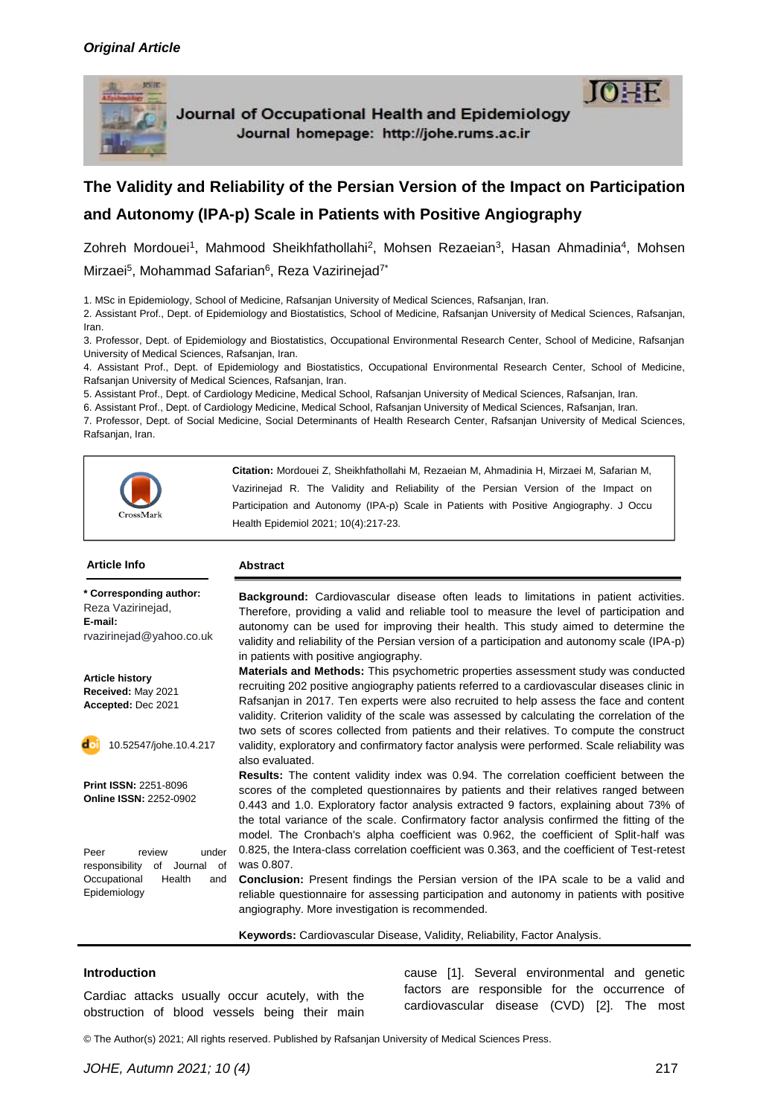

Journal of Occupational Health and Epidemiology Journal homepage: http://johe.rums.ac.ir



Zohreh Mordouei<sup>1</sup>, Mahmood Sheikhfathollahi<sup>2</sup>, Mohsen Rezaeian<sup>3</sup>, Hasan Ahmadinia<sup>4</sup>, Mohsen Mirzaei<sup>5</sup>, Mohammad Safarian<sup>6</sup>, Reza Vazirinejad<sup>7\*</sup>

1. MSc in Epidemiology, School of Medicine, Rafsanjan University of Medical Sciences, Rafsanjan, Iran.

2. Assistant Prof., Dept. of Epidemiology and Biostatistics, School of Medicine, Rafsanjan University of Medical Sciences, Rafsanjan, Iran.

3. Professor, Dept. of Epidemiology and Biostatistics, Occupational Environmental Research Center, School of Medicine, Rafsanjan University of Medical Sciences, Rafsanjan, Iran.

4. Assistant Prof., Dept. of Epidemiology and Biostatistics, Occupational Environmental Research Center, School of Medicine, Rafsanjan University of Medical Sciences, Rafsanjan, Iran.

5. Assistant Prof., Dept. of Cardiology Medicine, Medical School, Rafsanjan University of Medical Sciences, Rafsanjan, Iran.

6. Assistant Prof., Dept. of Cardiology Medicine, Medical School, Rafsanjan University of Medical Sciences, Rafsanjan, Iran.

7. Professor, Dept. of Social Medicine, Social Determinants of Health Research Center, Rafsanjan University of Medical Sciences, Rafsanjan, Iran.



#### **\* Corresponding author:** Reza Vazirinejad, **E-mail:** rvazirinejad@yahoo.co.uk

**Article Info Abstract**

**Article history Received:** May 2021 **Accepted:** Dec 2021



10.52547/johe.10.4.217

**Print ISSN:** 2251-8096 **Online ISSN:** 2252-0902

Peer review under responsibility of Journal of Occupational Health and Epidemiology

**Background:** Cardiovascular disease often leads to limitations in patient activities. Therefore, providing a valid and reliable tool to measure the level of participation and autonomy can be used for improving their health. This study aimed to determine the validity and reliability of the Persian version of a participation and autonomy scale (IPA-p) in patients with positive angiography.

**Materials and Methods:** This psychometric properties assessment study was conducted recruiting 202 positive angiography patients referred to a cardiovascular diseases clinic in Rafsanjan in 2017. Ten experts were also recruited to help assess the face and content validity. Criterion validity of the scale was assessed by calculating the correlation of the two sets of scores collected from patients and their relatives. To compute the construct validity, exploratory and confirmatory factor analysis were performed. Scale reliability was also evaluated.

**Results:** The content validity index was 0.94. The correlation coefficient between the scores of the completed questionnaires by patients and their relatives ranged between 0.443 and 1.0. Exploratory factor analysis extracted 9 factors, explaining about 73% of the total variance of the scale. Confirmatory factor analysis confirmed the fitting of the model. The Cronbach's alpha coefficient was 0.962, the coefficient of Split-half was 0.825, the Intera-class correlation coefficient was 0.363, and the coefficient of Test-retest was 0.807.

**Conclusion:** Present findings the Persian version of the IPA scale to be a valid and reliable questionnaire for assessing participation and autonomy in patients with positive angiography. More investigation is recommended.

**Keywords:** Cardiovascular Disease, Validity, Reliability, Factor Analysis.

#### **Introduction**

Cardiac attacks usually occur acutely, with the obstruction of blood vessels being their main cause [1]. Several environmental and genetic factors are responsible for the occurrence of cardiovascular disease (CVD) [2]. The most

© The Author(s) 2021; All rights reserved. Published by Rafsanjan University of Medical Sciences Press.

 $10 \pm F$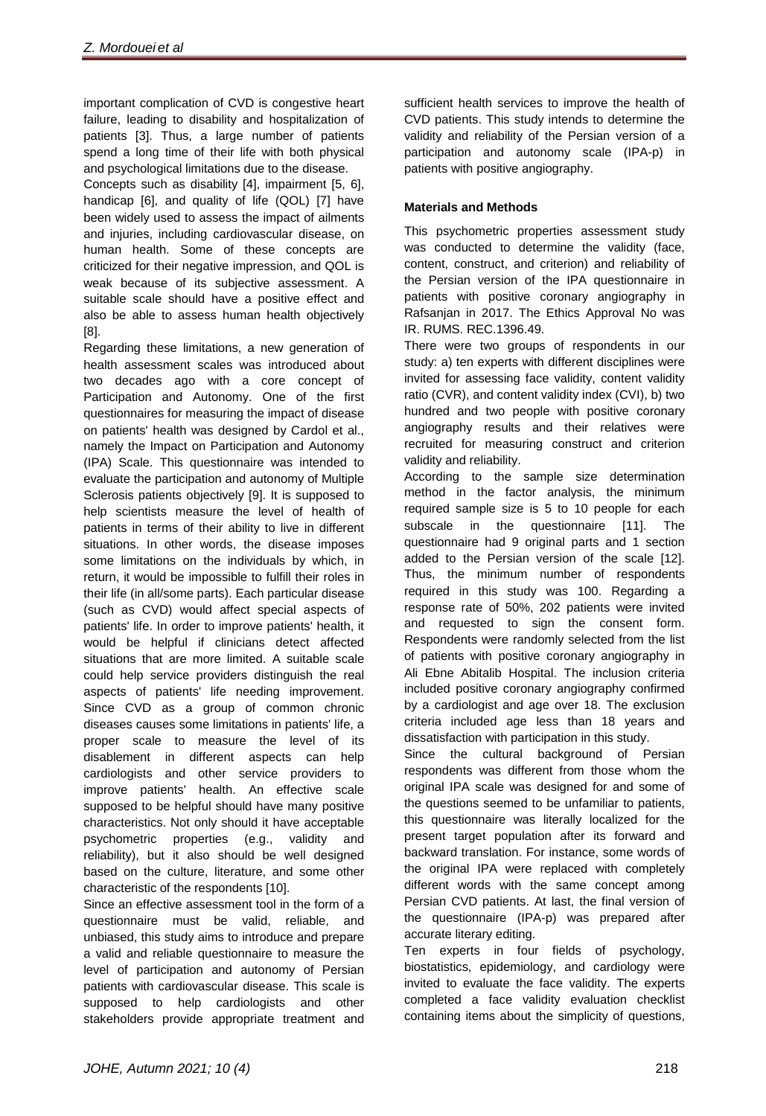important complication of CVD is congestive heart failure, leading to disability and hospitalization of patients [3]. Thus, a large number of patients spend a long time of their life with both physical and psychological limitations due to the disease.

Concepts such as disability [4], impairment [5, 6], handicap [6], and quality of life (QOL) [7] have been widely used to assess the impact of ailments and injuries, including cardiovascular disease, on human health. Some of these concepts are criticized for their negative impression, and QOL is weak because of its subjective assessment. A suitable scale should have a positive effect and also be able to assess human health objectively [8].

Regarding these limitations, a new generation of health assessment scales was introduced about two decades ago with a core concept of Participation and Autonomy. One of the first questionnaires for measuring the impact of disease on patients' health was designed by Cardol et al., namely the Impact on Participation and Autonomy (IPA) Scale. This questionnaire was intended to evaluate the participation and autonomy of Multiple Sclerosis patients objectively [9]. It is supposed to help scientists measure the level of health of patients in terms of their ability to live in different situations. In other words, the disease imposes some limitations on the individuals by which, in return, it would be impossible to fulfill their roles in their life (in all/some parts). Each particular disease (such as CVD) would affect special aspects of patients' life. In order to improve patients' health, it would be helpful if clinicians detect affected situations that are more limited. A suitable scale could help service providers distinguish the real aspects of patients' life needing improvement. Since CVD as a group of common chronic diseases causes some limitations in patients' life, a proper scale to measure the level of its disablement in different aspects can help cardiologists and other service providers to improve patients' health. An effective scale supposed to be helpful should have many positive characteristics. Not only should it have acceptable psychometric properties (e.g., validity and reliability), but it also should be well designed based on the culture, literature, and some other characteristic of the respondents [10].

Since an effective assessment tool in the form of a questionnaire must be valid, reliable, and unbiased, this study aims to introduce and prepare a valid and reliable questionnaire to measure the level of participation and autonomy of Persian patients with cardiovascular disease. This scale is supposed to help cardiologists and other stakeholders provide appropriate treatment and

sufficient health services to improve the health of CVD patients. This study intends to determine the validity and reliability of the Persian version of a participation and autonomy scale (IPA-p) in patients with positive angiography.

# **Materials and Methods**

This psychometric properties assessment study was conducted to determine the validity (face, content, construct, and criterion) and reliability of the Persian version of the IPA questionnaire in patients with positive coronary angiography in Rafsanjan in 2017. The Ethics Approval No was IR. RUMS. REC.1396.49.

There were two groups of respondents in our study: a) ten experts with different disciplines were invited for assessing face validity, content validity ratio (CVR), and content validity index (CVI), b) two hundred and two people with positive coronary angiography results and their relatives were recruited for measuring construct and criterion validity and reliability.

According to the sample size determination method in the factor analysis, the minimum required sample size is 5 to 10 people for each subscale in the questionnaire [11]. The questionnaire had 9 original parts and 1 section added to the Persian version of the scale [12]. Thus, the minimum number of respondents required in this study was 100. Regarding a response rate of 50%, 202 patients were invited and requested to sign the consent form. Respondents were randomly selected from the list of patients with positive coronary angiography in Ali Ebne Abitalib Hospital. The inclusion criteria included positive coronary angiography confirmed by a cardiologist and age over 18. The exclusion criteria included age less than 18 years and dissatisfaction with participation in this study.

Since the cultural background of Persian respondents was different from those whom the original IPA scale was designed for and some of the questions seemed to be unfamiliar to patients, this questionnaire was literally localized for the present target population after its forward and backward translation. For instance, some words of the original IPA were replaced with completely different words with the same concept among Persian CVD patients. At last, the final version of the questionnaire (IPA-p) was prepared after accurate literary editing.

Ten experts in four fields of psychology, biostatistics, epidemiology, and cardiology were invited to evaluate the face validity. The experts completed a face validity evaluation checklist containing items about the simplicity of questions,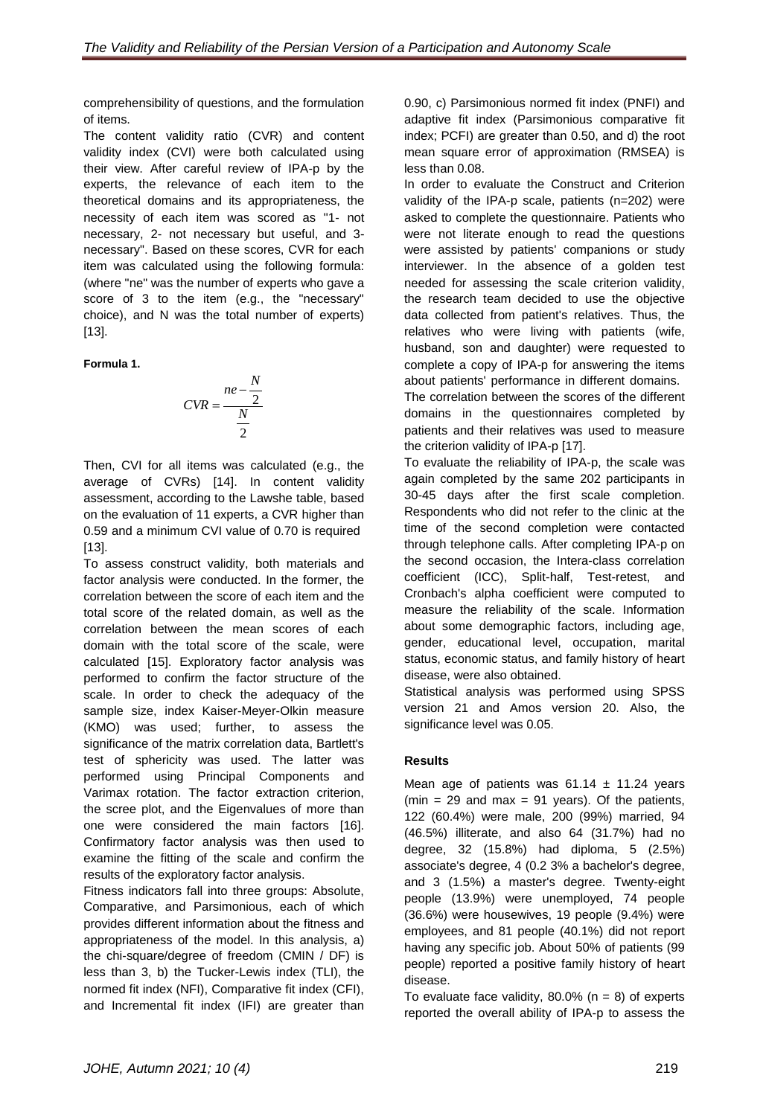comprehensibility of questions, and the formulation of items.

The content validity ratio (CVR) and content validity index (CVI) were both calculated using their view. After careful review of IPA-p by the experts, the relevance of each item to the theoretical domains and its appropriateness, the necessity of each item was scored as "1- not necessary, 2- not necessary but useful, and 3 necessary". Based on these scores, CVR for each item was calculated using the following formula: (where "ne" was the number of experts who gave a score of 3 to the item (e.g., the "necessary" choice), and N was the total number of experts) [13].

**Formula 1.** 

$$
CVR = \frac{ne - \frac{N}{2}}{\frac{N}{2}}
$$

Then, CVI for all items was calculated (e.g., the average of CVRs) [14]. In content validity assessment, according to the Lawshe table, based on the evaluation of 11 experts, a CVR higher than 0.59 and a minimum CVI value of 0.70 is required [13].

To assess construct validity, both materials and factor analysis were conducted. In the former, the correlation between the score of each item and the total score of the related domain, as well as the correlation between the mean scores of each domain with the total score of the scale, were calculated [15]. Exploratory factor analysis was performed to confirm the factor structure of the scale. In order to check the adequacy of the sample size, index Kaiser-Meyer-Olkin measure (KMO) was used; further, to assess the significance of the matrix correlation data, Bartlett's test of sphericity was used. The latter was performed using Principal Components and Varimax rotation. The factor extraction criterion, the scree plot, and the Eigenvalues of more than one were considered the main factors [16]. Confirmatory factor analysis was then used to examine the fitting of the scale and confirm the results of the exploratory factor analysis.

Fitness indicators fall into three groups: Absolute, Comparative, and Parsimonious, each of which provides different information about the fitness and appropriateness of the model. In this analysis, a) the chi-square/degree of freedom (CMIN / DF) is less than 3, b) the Tucker-Lewis index (TLI), the normed fit index (NFI), Comparative fit index (CFI), and Incremental fit index (IFI) are greater than

0.90, c) Parsimonious normed fit index (PNFI) and adaptive fit index (Parsimonious comparative fit index; PCFI) are greater than 0.50, and d) the root mean square error of approximation (RMSEA) is less than 0.08.

In order to evaluate the Construct and Criterion validity of the IPA-p scale, patients (n=202) were asked to complete the questionnaire. Patients who were not literate enough to read the questions were assisted by patients' companions or study interviewer. In the absence of a golden test needed for assessing the scale criterion validity, the research team decided to use the objective data collected from patient's relatives. Thus, the relatives who were living with patients (wife, husband, son and daughter) were requested to complete a copy of IPA-p for answering the items about patients' performance in different domains. The correlation between the scores of the different domains in the questionnaires completed by patients and their relatives was used to measure the criterion validity of IPA-p [17].

To evaluate the reliability of IPA-p, the scale was again completed by the same 202 participants in 30-45 days after the first scale completion. Respondents who did not refer to the clinic at the time of the second completion were contacted through telephone calls. After completing IPA-p on the second occasion, the Intera-class correlation coefficient (ICC), Split-half, Test-retest, and Cronbach's alpha coefficient were computed to measure the reliability of the scale. Information about some demographic factors, including age, gender, educational level, occupation, marital status, economic status, and family history of heart disease, were also obtained.

Statistical analysis was performed using SPSS version 21 and Amos version 20. Also, the significance level was 0.05.

# **Results**

Mean age of patients was  $61.14 \pm 11.24$  years (min = 29 and max = 91 years). Of the patients, 122 (60.4%) were male, 200 (99%) married, 94 (46.5%) illiterate, and also 64 (31.7%) had no degree, 32 (15.8%) had diploma, 5 (2.5%) associate's degree, 4 (0.2 3% a bachelor's degree, and 3 (1.5%) a master's degree. Twenty-eight people (13.9%) were unemployed, 74 people (36.6%) were housewives, 19 people (9.4%) were employees, and 81 people (40.1%) did not report having any specific job. About 50% of patients (99 people) reported a positive family history of heart disease.

To evaluate face validity,  $80.0\%$  (n = 8) of experts reported the overall ability of IPA-p to assess the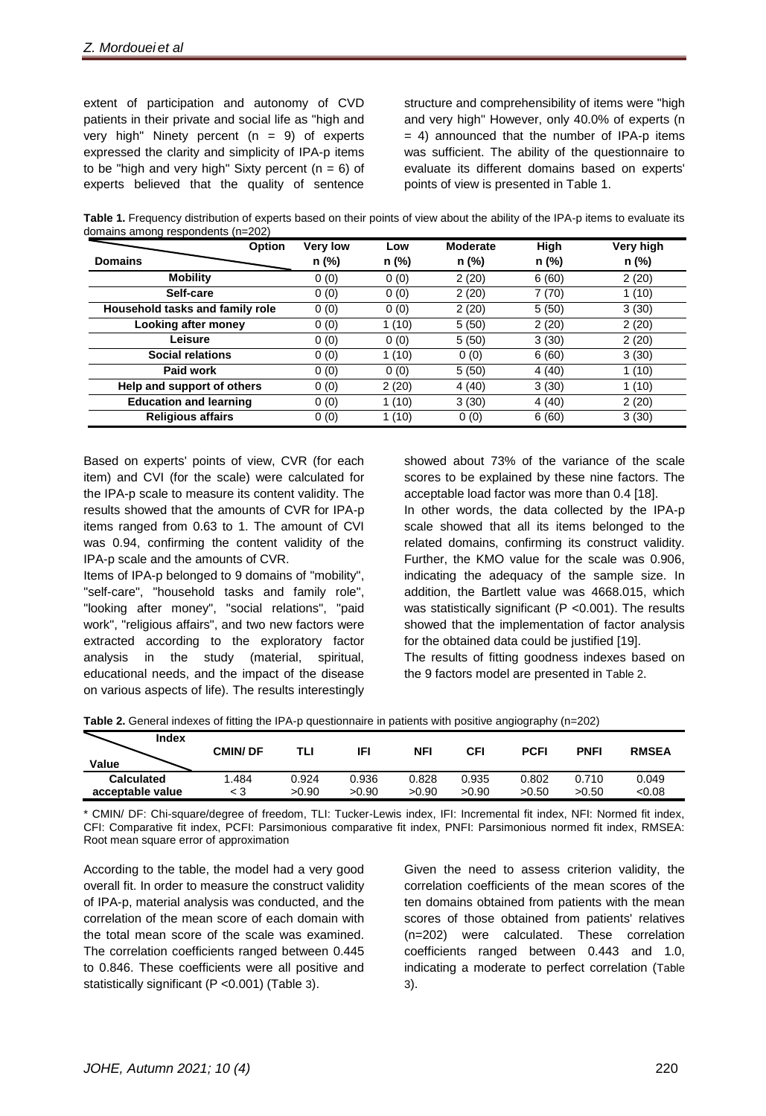extent of participation and autonomy of CVD patients in their private and social life as "high and very high" Ninety percent  $(n = 9)$  of experts expressed the clarity and simplicity of IPA-p items to be "high and very high" Sixty percent  $(n = 6)$  of experts believed that the quality of sentence

structure and comprehensibility of items were "high and very high" However, only 40.0% of experts (n  $= 4$ ) announced that the number of IPA-p items was sufficient. The ability of the questionnaire to evaluate its different domains based on experts' points of view is presented in Table 1.

**Table 1.** Frequency distribution of experts based on their points of view about the ability of the IPA-p items to evaluate its domains among respondents (n=202)

| Option                          | <b>Very low</b> | Low   | <b>Moderate</b> | High  | <b>Very high</b> |
|---------------------------------|-----------------|-------|-----------------|-------|------------------|
| <b>Domains</b>                  | n (%)           | n (%) | n (%)           | n (%) | n (%)            |
| <b>Mobility</b>                 | 0(0)            | 0(0)  | 2(20)           | 6(60) | 2(20)            |
| Self-care                       | 0(0)            | 0(0)  | 2(20)           | 7(70) | 1(10)            |
| Household tasks and family role | 0(0)            | 0(0)  | 2(20)           | 5(50) | 3(30)            |
| <b>Looking after money</b>      | 0(0)            | 1(10) | 5(50)           | 2(20) | 2(20)            |
| Leisure                         | 0(0)            | 0(0)  | 5(50)           | 3(30) | 2(20)            |
| <b>Social relations</b>         | 0(0)            | 1(10) | 0(0)            | 6(60) | 3(30)            |
| Paid work                       | 0(0)            | 0(0)  | 5(50)           | 4(40) | 1(10)            |
| Help and support of others      | 0(0)            | 2(20) | 4(40)           | 3(30) | 1(10)            |
| <b>Education and learning</b>   | 0(0)            | 1(10) | 3(30)           | 4(40) | 2(20)            |
| <b>Religious affairs</b>        | 0(0)            | 1(10) | 0(0)            | 6(60) | 3(30)            |

Based on experts' points of view, CVR (for each item) and CVI (for the scale) were calculated for the IPA-p scale to measure its content validity. The results showed that the amounts of CVR for IPA-p items ranged from 0.63 to 1. The amount of CVI was 0.94, confirming the content validity of the IPA-p scale and the amounts of CVR.

Items of IPA-p belonged to 9 domains of "mobility", "self-care", "household tasks and family role", "looking after money", "social relations", "paid work", "religious affairs", and two new factors were extracted according to the exploratory factor analysis in the study (material, spiritual, educational needs, and the impact of the disease on various aspects of life). The results interestingly

showed about 73% of the variance of the scale scores to be explained by these nine factors. The acceptable load factor was more than 0.4 [18]. In other words, the data collected by the IPA-p scale showed that all its items belonged to the related domains, confirming its construct validity. Further, the KMO value for the scale was 0.906, indicating the adequacy of the sample size. In addition, the Bartlett value was 4668.015, which was statistically significant (P < 0.001). The results showed that the implementation of factor analysis for the obtained data could be justified [19].

The results of fitting goodness indexes based on the 9 factors model are presented in Table 2.

**Table 2.** General indexes of fitting the IPA-p questionnaire in patients with positive angiography (n=202)

| <b>Index</b><br>Value | <b>CMIN/DF</b> | TLI   | IFI   | NFI   | CFI   | <b>PCFI</b> | <b>PNFI</b> | <b>RMSEA</b> |
|-----------------------|----------------|-------|-------|-------|-------|-------------|-------------|--------------|
| <b>Calculated</b>     | 1.484          | 0.924 | 0.936 | 0.828 | 0.935 | 0.802       | 0.710       | 0.049        |
| acceptable value      | < 3            | >0.90 | >0.90 | >0.90 | >0.90 | >0.50       | >0.50       | < 0.08       |

\* CMIN/ DF: Chi-square/degree of freedom, TLI: Tucker-Lewis index, IFI: Incremental fit index, NFI: Normed fit index, CFI: Comparative fit index, PCFI: Parsimonious comparative fit index, PNFI: Parsimonious normed fit index, RMSEA: Root mean square error of approximation

According to the table, the model had a very good overall fit. In order to measure the construct validity of IPA-p, material analysis was conducted, and the correlation of the mean score of each domain with the total mean score of the scale was examined. The correlation coefficients ranged between 0.445 to 0.846. These coefficients were all positive and statistically significant (P <0.001) (Table 3).

Given the need to assess criterion validity, the correlation coefficients of the mean scores of the ten domains obtained from patients with the mean scores of those obtained from patients' relatives (n=202) were calculated. These correlation coefficients ranged between 0.443 and 1.0, indicating a moderate to perfect correlation (Table 3).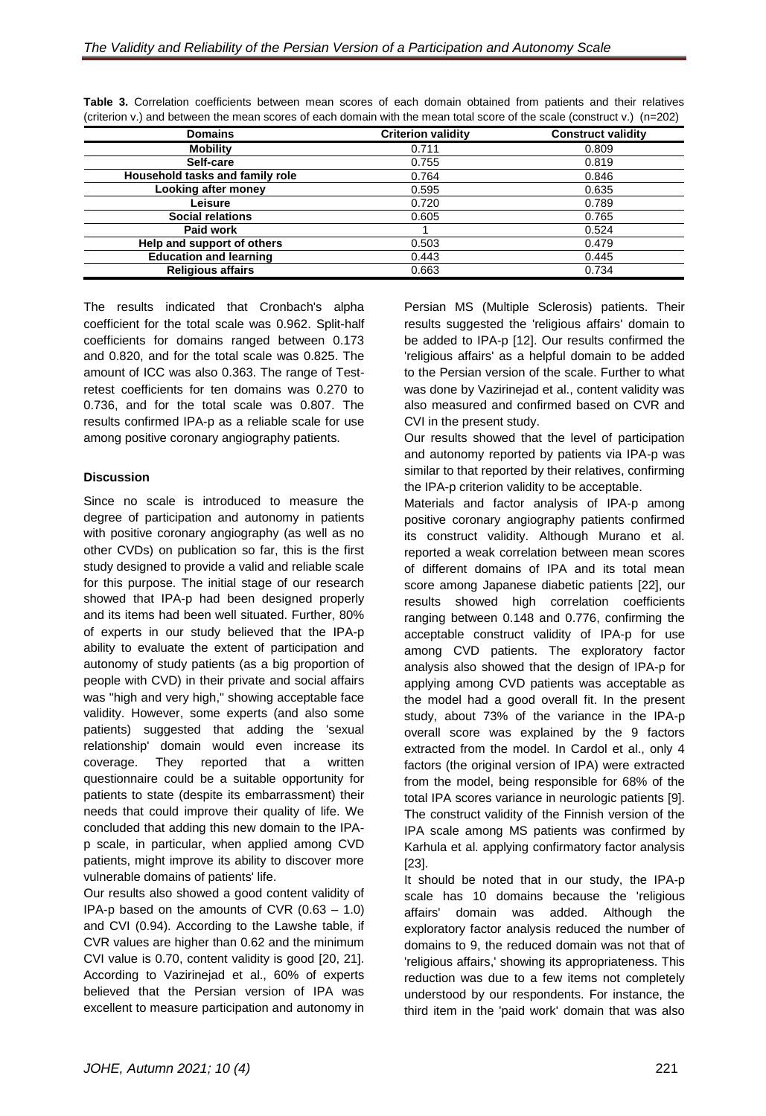| <b>Domains</b>                  | <b>Criterion validity</b> | <b>Construct validity</b> |
|---------------------------------|---------------------------|---------------------------|
| <b>Mobility</b>                 | 0.711                     | 0.809                     |
| Self-care                       | 0.755                     | 0.819                     |
| Household tasks and family role | 0.764                     | 0.846                     |
| <b>Looking after money</b>      | 0.595                     | 0.635                     |
| Leisure                         | 0.720                     | 0.789                     |
| <b>Social relations</b>         | 0.605                     | 0.765                     |
| Paid work                       |                           | 0.524                     |
| Help and support of others      | 0.503                     | 0.479                     |
| <b>Education and learning</b>   | 0.443                     | 0.445                     |
| <b>Religious affairs</b>        | 0.663                     | 0.734                     |
|                                 |                           |                           |

**Table 3.** Correlation coefficients between mean scores of each domain obtained from patients and their relatives (criterion v.) and between the mean scores of each domain with the mean total score of the scale (construct v.) (n=202)

The results indicated that Cronbach's alpha coefficient for the total scale was 0.962. Split-half coefficients for domains ranged between 0.173 and 0.820, and for the total scale was 0.825. The amount of ICC was also 0.363. The range of Testretest coefficients for ten domains was 0.270 to 0.736, and for the total scale was 0.807. The results confirmed IPA-p as a reliable scale for use among positive coronary angiography patients.

# **Discussion**

Since no scale is introduced to measure the degree of participation and autonomy in patients with positive coronary angiography (as well as no other CVDs) on publication so far, this is the first study designed to provide a valid and reliable scale for this purpose. The initial stage of our research showed that IPA-p had been designed properly and its items had been well situated. Further, 80% of experts in our study believed that the IPA-p ability to evaluate the extent of participation and autonomy of study patients (as a big proportion of people with CVD) in their private and social affairs was "high and very high," showing acceptable face validity. However, some experts (and also some patients) suggested that adding the 'sexual relationship' domain would even increase its coverage. They reported that a written questionnaire could be a suitable opportunity for patients to state (despite its embarrassment) their needs that could improve their quality of life. We concluded that adding this new domain to the IPAp scale, in particular, when applied among CVD patients, might improve its ability to discover more vulnerable domains of patients' life.

Our results also showed a good content validity of IPA-p based on the amounts of CVR (0.63 – 1.0) and CVI (0.94). According to the Lawshe table, if CVR values are higher than 0.62 and the minimum CVI value is 0.70, content validity is good [20, 21]. According to Vazirinejad et al., 60% of experts believed that the Persian version of IPA was excellent to measure participation and autonomy in

Persian MS (Multiple Sclerosis) patients. Their results suggested the 'religious affairs' domain to be added to IPA-p [12]. Our results confirmed the 'religious affairs' as a helpful domain to be added to the Persian version of the scale. Further to what was done by Vazirinejad et al., content validity was also measured and confirmed based on CVR and CVI in the present study.

Our results showed that the level of participation and autonomy reported by patients via IPA-p was similar to that reported by their relatives, confirming the IPA-p criterion validity to be acceptable.

Materials and factor analysis of IPA-p among positive coronary angiography patients confirmed its construct validity. Although Murano et al. reported a weak correlation between mean scores of different domains of IPA and its total mean score among Japanese diabetic patients [22], our results showed high correlation coefficients ranging between 0.148 and 0.776, confirming the acceptable construct validity of IPA-p for use among CVD patients. The exploratory factor analysis also showed that the design of IPA-p for applying among CVD patients was acceptable as the model had a good overall fit. In the present study, about 73% of the variance in the IPA-p overall score was explained by the 9 factors extracted from the model. In Cardol et al., only 4 factors (the original version of IPA) were extracted from the model, being responsible for 68% of the total IPA scores variance in neurologic patients [9]. The construct validity of the Finnish version of the IPA scale among MS patients was confirmed by Karhula et al. applying confirmatory factor analysis [23].

It should be noted that in our study, the IPA-p scale has 10 domains because the 'religious affairs' domain was added. Although the exploratory factor analysis reduced the number of domains to 9, the reduced domain was not that of 'religious affairs,' showing its appropriateness. This reduction was due to a few items not completely understood by our respondents. For instance, the third item in the 'paid work' domain that was also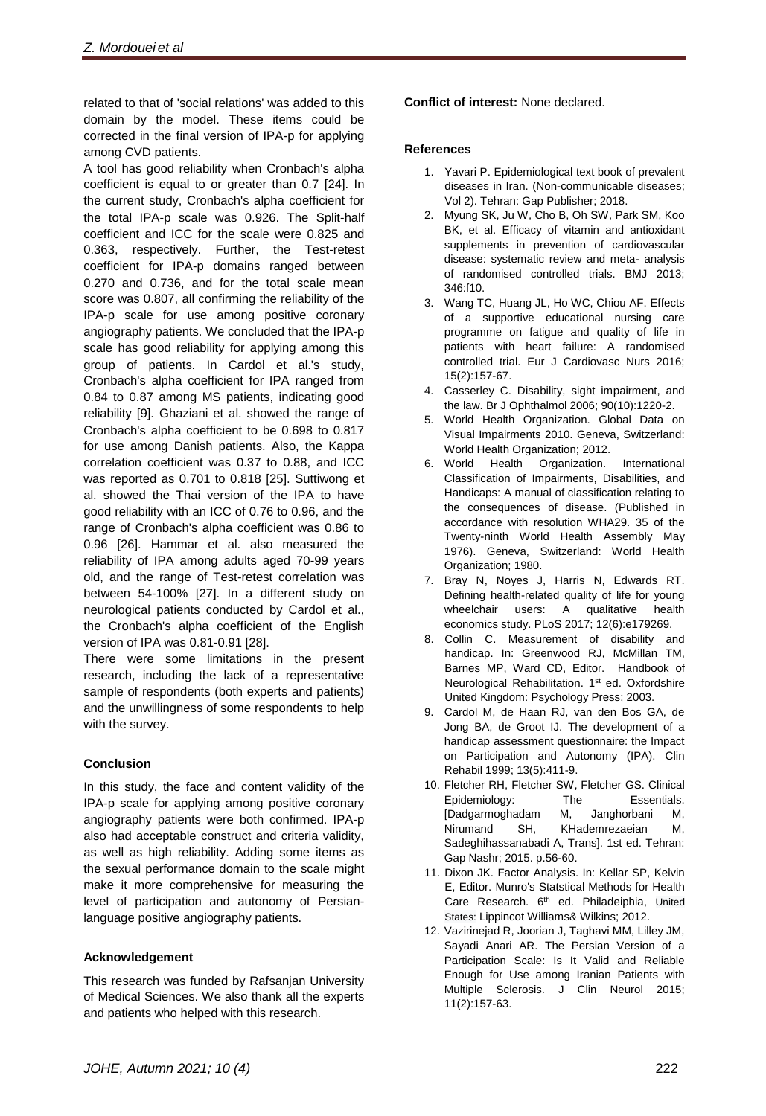related to that of 'social relations' was added to this domain by the model. These items could be corrected in the final version of IPA-p for applying among CVD patients.

A tool has good reliability when Cronbach's alpha coefficient is equal to or greater than 0.7 [24]. In the current study, Cronbach's alpha coefficient for the total IPA-p scale was 0.926. The Split-half coefficient and ICC for the scale were 0.825 and 0.363, respectively. Further, the Test-retest coefficient for IPA-p domains ranged between 0.270 and 0.736, and for the total scale mean score was 0.807, all confirming the reliability of the IPA-p scale for use among positive coronary angiography patients. We concluded that the IPA-p scale has good reliability for applying among this group of patients. In Cardol et al.'s study, Cronbach's alpha coefficient for IPA ranged from 0.84 to 0.87 among MS patients, indicating good reliability [9]. Ghaziani et al. showed the range of Cronbach's alpha coefficient to be 0.698 to 0.817 for use among Danish patients. Also, the Kappa correlation coefficient was 0.37 to 0.88, and ICC was reported as 0.701 to 0.818 [25]. Suttiwong et al. showed the Thai version of the IPA to have good reliability with an ICC of 0.76 to 0.96, and the range of Cronbach's alpha coefficient was 0.86 to 0.96 [26]. Hammar et al. also measured the reliability of IPA among adults aged 70-99 years old, and the range of Test-retest correlation was between 54-100% [27]. In a different study on neurological patients conducted by Cardol et al., the Cronbach's alpha coefficient of the English version of IPA was 0.81-0.91 [28].

There were some limitations in the present research, including the lack of a representative sample of respondents (both experts and patients) and the unwillingness of some respondents to help with the survey.

# **Conclusion**

In this study, the face and content validity of the IPA-p scale for applying among positive coronary angiography patients were both confirmed. IPA-p also had acceptable construct and criteria validity, as well as high reliability. Adding some items as the sexual performance domain to the scale might make it more comprehensive for measuring the level of participation and autonomy of Persianlanguage positive angiography patients.

# **Acknowledgement**

This research was funded by Rafsanjan University of Medical Sciences. We also thank all the experts and patients who helped with this research.

**Conflict of interest:** None declared.

#### **References**

- 1. Yavari P. Epidemiological text book of prevalent diseases in Iran. (Non-communicable diseases; Vol 2). Tehran: Gap Publisher; 2018.
- 2. Myung SK, Ju W, Cho B, Oh SW, Park SM, Koo BK, et al. Efficacy of vitamin and antioxidant supplements in prevention of cardiovascular disease: systematic review and meta- analysis of randomised controlled trials. BMJ 2013; 346:f10.
- 3. Wang TC, Huang JL, Ho WC, Chiou AF. Effects of a supportive educational nursing care programme on fatigue and quality of life in patients with heart failure: A randomised controlled trial. Eur J Cardiovasc Nurs 2016; 15(2):157-67.
- 4. Casserley C. Disability, sight impairment, and the law. Br J Ophthalmol 2006; 90(10):1220-2.
- 5. World Health Organization. Global Data on Visual Impairments 2010. Geneva, Switzerland: World Health Organization; 2012.
- 6. World Health Organization. International Classification of Impairments, Disabilities, and Handicaps: A manual of classification relating to the consequences of disease. (Published in accordance with resolution WHA29. 35 of the Twenty-ninth World Health Assembly May 1976). Geneva, Switzerland: World Health Organization; 1980.
- 7. Bray N, Noyes J, Harris N, Edwards RT. Defining health-related quality of life for young wheelchair users: A qualitative health economics study. PLoS 2017; 12(6):e179269.
- 8. Collin C. Measurement of disability and handicap. In: Greenwood RJ, McMillan TM, Barnes MP, Ward CD, Editor. Handbook of Neurological Rehabilitation. 1<sup>st</sup> ed. [Oxfordshire](https://en.wikipedia.org/wiki/Oxfordshire) [United Kingdom:](https://en.wikipedia.org/wiki/United_Kingdom) Psychology Press; 2003.
- 9. Cardol M, de Haan RJ, van den Bos GA, de Jong BA, de Groot IJ. The development of a handicap assessment questionnaire: the Impact on Participation and Autonomy (IPA). Clin Rehabil 1999; 13(5):411-9.
- 10. Fletcher RH, Fletcher SW, Fletcher GS. Clinical Epidemiology: The Essentials. [Dadgarmoghadam M, Janghorbani M, Nirumand SH, KHademrezaeian M, Sadeghihassanabadi A, Trans]. 1st ed. Tehran: Gap Nashr; 2015. p.56-60.
- 11. Dixon JK. Factor Analysis. In: Kellar SP, Kelvin E, Editor. Munro's Statstical Methods for Health Care Research. 6<sup>th</sup> ed. Philadeiphia, United States: Lippincot Williams& Wilkins; 2012.
- 12. Vazirinejad R, Joorian J, Taghavi MM, Lilley JM, Sayadi Anari AR. The Persian Version of a Participation Scale: Is It Valid and Reliable Enough for Use among Iranian Patients with Multiple Sclerosis. J Clin Neurol 2015; 11(2):157-63.